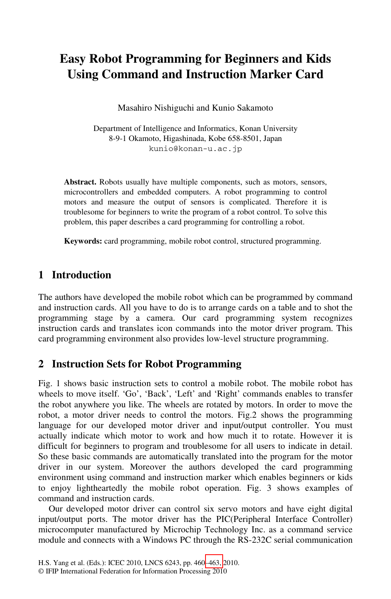## **Easy Robot Programming for Beginners and Kids Using Command and Instruction Marker Card**

Masahiro Nishiguchi and Kunio Sakamoto

Department of Intelligence and Informatics, Konan University 8-9-1 Okamoto, Higashinada, Kobe 658-8501, Japan kunio@konan-u.ac.jp

**Abstract.** Robots usually have multiple components, such as motors, sensors, microcontrollers and embedded computers. A robot programming to control motors and measure the output of sensors is complicated. Therefore it is troublesome for beginners to write the program of a robot control. To solve this problem, this paper describes a card programming for controlling a robot.

**Keywords:** card programming, mobile robot control, structured programming.

## **1 Introduction**

The authors have developed the mobile robot which can be programmed by command and instruction cards. All you have to do is to arrange cards on a table and to shot the programming stage by a camera. Our card programming system recognizes instruction cards and translates icon commands into the motor driver program. This card programming environment also provides low-level structure programming.

## **2 Instruction Sets for Robot Programming**

Fig. 1 shows basic instruction sets to control a mobile robot. The mobile robot has wheels to move itself. 'Go', 'Back', 'Left' and 'Right' commands enables to transfer the robot anywhere you like. The wheels are rotated by motors. In order to move the robot, a motor driver needs to control the motors. Fig.2 shows the programming language for our developed motor driver and input/output controller. You must actually indicate which motor to work and how much it to rotate. However it is difficult for beginners to program and troublesome for all users to indicate in detail. So these basic commands are automatically translated into the program for the motor driver in our system. Moreover the authors developed the card programming environment using com[mand](#page-3-0) and instruction marker which enables beginners or kids to enjoy lightheartedly the mobile robot operation. Fig. 3 shows examples of command and instruction cards.

Our developed motor driver can control six servo motors and have eight digital input/output ports. The motor driver has the PIC(Peripheral Interface Controller) microcomputer manufactured by Microchip Technology Inc. as a command service module and connects with a Windows PC through the RS-232C serial communication

© IFIP International Federation for Information Processing 2010

H.S. Yang et al. (Eds.): ICEC 2010, LNCS 6243, pp. 460–463, 2010.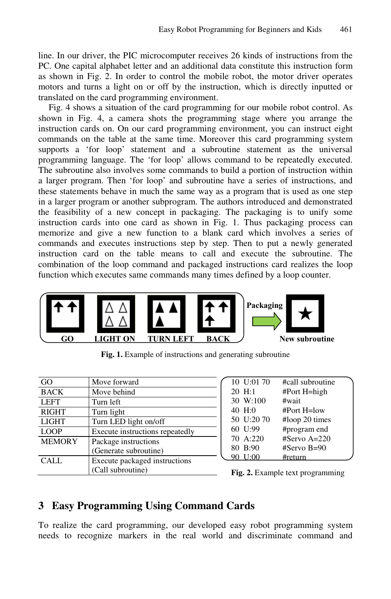line. In our driver, the PIC microcomputer receives 26 kinds of instructions from the PC. One capital alphabet letter and an additional data constitute this instruction form as shown in Fig. 2. In order to control the mobile robot, the motor driver operates motors and turns a light on or off by the instruction, which is directly inputted or translated on the card programming environment.

Fig. 4 shows a situation of the card programming for our mobile robot control. As shown in Fig. 4, a camera shots the programming stage where you arrange the instruction cards on. On our card programming environment, you can instruct eight commands on the table at the same time. Moreover this card programming system supports a 'for loop' statement and a subroutine statement as the universal programming language. The 'for loop' allows command to be repeatedly executed. The subroutine also involves some commands to build a portion of instruction within a larger program. Then 'for loop' and subroutine have a series of instructions, and these statements behave in much the same way as a program that is used as one step in a larger program or another subprogram. The authors introduced and demonstrated the feasibility of a new concept in packaging. The packaging is to unify some instruction cards into one card as shown in Fig. 1. Thus packaging process can memorize and give a new function to a blank card which involves a series of commands and executes instructions step by step. Then to put a newly generated instruction card on the table means to call and execute the subroutine. The combination of the loop command and packaged instructions card realizes the loop function which executes same commands many times defined by a loop counter.



**Fig. 1.** Example of instructions and generating subroutine

| GO            | Move forward                    |
|---------------|---------------------------------|
| <b>BACK</b>   | Move behind                     |
| <b>LEFT</b>   | Turn left                       |
| <b>RIGHT</b>  | Turn light                      |
| <b>LIGHT</b>  | Turn LED light on/off           |
| <b>LOOP</b>   | Execute instructions repeatedly |
| <b>MEMORY</b> | Package instructions            |
|               | (Generate subroutine)           |
| <b>CALL</b>   | Execute packaged instructions   |
|               | (Call subroutine)               |

| $10 \text{ U}:0170$ | #call subroutine |
|---------------------|------------------|
| $20 \text{ H} : 1$  | #Port H=high     |
| 30 W:100            | #wait            |
| $40$ H:0            | #Port H=low      |
| 50 U:20 70          | #loop 20 times   |
| 60 U:99             | #program end     |
| 70 A:220            | $#Servo A=220$   |
| 80 B:90             | $#Servo B=90$    |
| - 11.00             | #return          |

**Fig. 2.** Example text programming

## **3 Easy Programming Using Command Cards**

To realize the card programming, our developed easy robot programming system needs to recognize markers in the real world and discriminate command and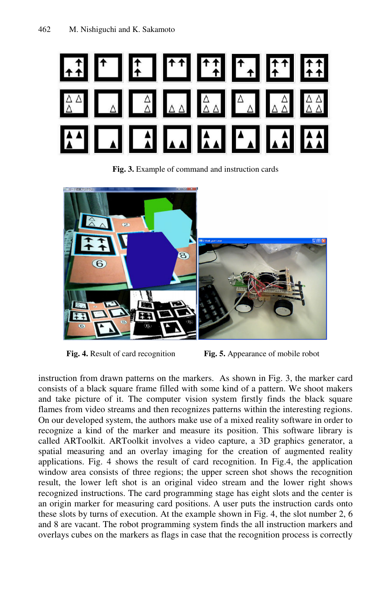

**Fig. 3.** Example of command and instruction cards



**Fig. 4.** Result of card recognition **Fig. 5.** Appearance of mobile robot

instruction from drawn patterns on the markers. As shown in Fig. 3, the marker card consists of a black square frame filled with some kind of a pattern. We shoot makers and take picture of it. The computer vision system firstly finds the black square flames from video streams and then recognizes patterns within the interesting regions. On our developed system, the authors make use of a mixed reality software in order to recognize a kind of the marker and measure its position. This software library is called ARToolkit. ARToolkit involves a video capture, a 3D graphics generator, a spatial measuring and an overlay imaging for the creation of augmented reality applications. Fig. 4 shows the result of card recognition. In Fig.4, the application window area consists of three regions; the upper screen shot shows the recognition result, the lower left shot is an original video stream and the lower right shows recognized instructions. The card programming stage has eight slots and the center is an origin marker for measuring card positions. A user puts the instruction cards onto these slots by turns of execution. At the example shown in Fig. 4, the slot number 2, 6 and 8 are vacant. The robot programming system finds the all instruction markers and overlays cubes on the markers as flags in case that the recognition process is correctly